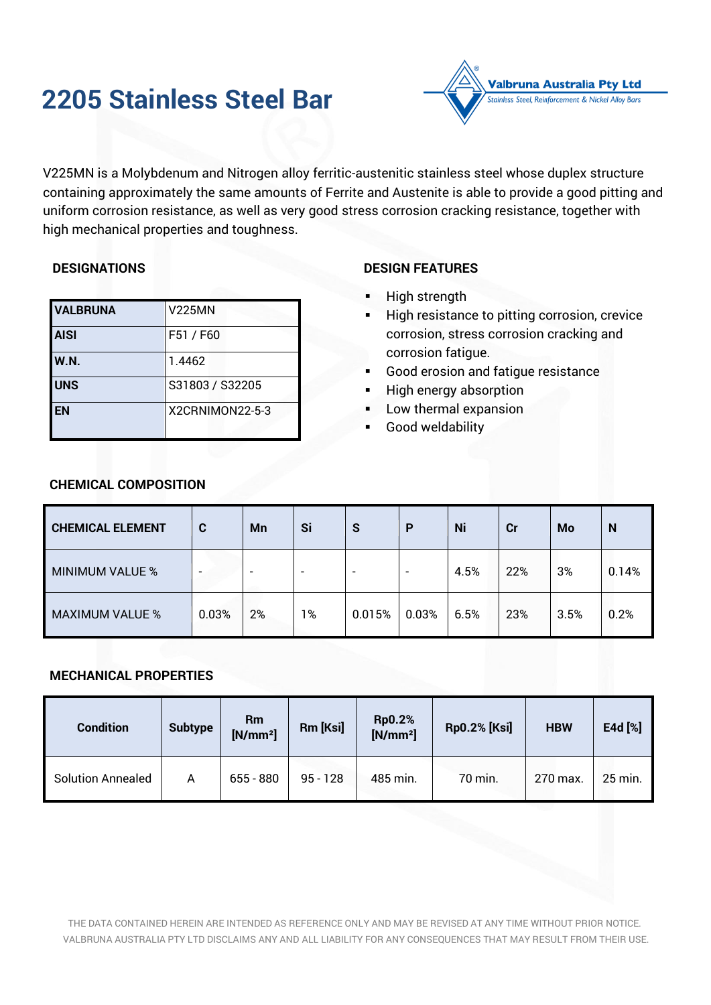# **2205 Stainless Steel Bar**



V225MN is a Molybdenum and Nitrogen alloy ferritic-austenitic stainless steel whose duplex structure containing approximately the same amounts of Ferrite and Austenite is able to provide a good pitting and uniform corrosion resistance, as well as very good stress corrosion cracking resistance, together with high mechanical properties and toughness.

# **DESIGNATIONS**

| <b>VALBRUNA</b> | <b>V225MN</b>   |
|-----------------|-----------------|
| <b>AISI</b>     | F51 / F60       |
| <b>W.N.</b>     | 1.4462          |
| <b>UNS</b>      | S31803 / S32205 |
| <b>EN</b>       | X2CRNIMON22-5-3 |

# **DESIGN FEATURES**

- High strength
- High resistance to pitting corrosion, crevice corrosion, stress corrosion cracking and corrosion fatigue.
- Good erosion and fatique resistance
- High energy absorption
- Low thermal expansion
- Good weldability

| <b>CHEMICAL ELEMENT</b> | C     | <b>Mn</b> | Si                       | S      | P              | Ni   | cr  | Mo   | N     |
|-------------------------|-------|-----------|--------------------------|--------|----------------|------|-----|------|-------|
| <b>MINIMUM VALUE %</b>  | -     | -         | $\overline{\phantom{0}}$ | -      | $\overline{a}$ | 4.5% | 22% | 3%   | 0.14% |
| <b>MAXIMUM VALUE %</b>  | 0.03% | 2%        | 1%                       | 0.015% | 0.03%          | 6.5% | 23% | 3.5% | 0.2%  |

## **CHEMICAL COMPOSITION**

## **MECHANICAL PROPERTIES**

| <b>Condition</b>         | <b>Subtype</b> | Rm<br>$[N/mm^2]$ | Rm [Ksi]   | <b>Rp0.2%</b><br>$[N/mm^2]$ | <b>Rp0.2% [Ksi]</b> | <b>HBW</b> | E4d [%] |
|--------------------------|----------------|------------------|------------|-----------------------------|---------------------|------------|---------|
| <b>Solution Annealed</b> | A              | $655 - 880$      | $95 - 128$ | 485 min.                    | 70 min.             | 270 max.   | 25 min. |

THE DATA CONTAINED HEREIN ARE INTENDED AS REFERENCE ONLY AND MAY BE REVISED AT ANY TIME WITHOUT PRIOR NOTICE. VALBRUNA AUSTRALIA PTY LTD DISCLAIMS ANY AND ALL LIABILITY FOR ANY CONSEQUENCES THAT MAY RESULT FROM THEIR USE.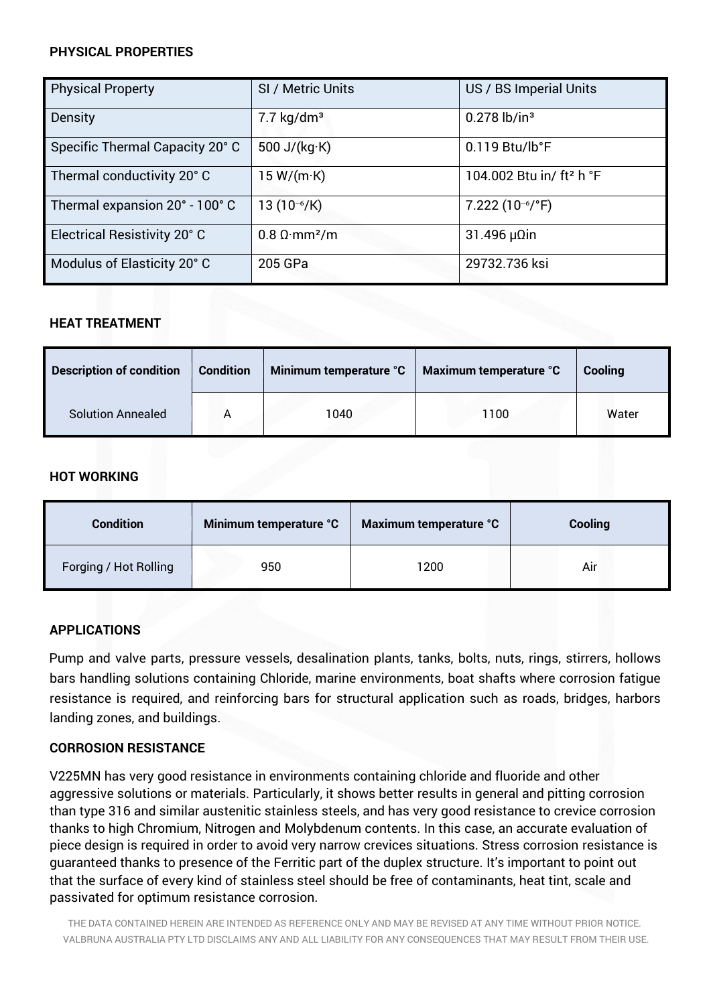## **PHYSICAL PROPERTIES**

| <b>Physical Property</b>        | SI / Metric Units                       | US / BS Imperial Units               |
|---------------------------------|-----------------------------------------|--------------------------------------|
| Density                         | $7.7 \text{ kg/dm}^3$                   | $0.278$ lb/in <sup>3</sup>           |
| Specific Thermal Capacity 20° C | 500 J/ $(kg·K)$                         | $0.119$ Btu/lb°F                     |
| Thermal conductivity 20° C      | 15 W/(m·K)                              | 104.002 Btu in/ ft <sup>2</sup> h °F |
| Thermal expansion 20° - 100° C  | 13 $(10^{-6}/K)$                        | $7.222(10^{-6}/^{\circ}F)$           |
| Electrical Resistivity 20° C    | $0.8 \Omega \cdot \text{mm}^2/\text{m}$ | $31.496 \mu$ Ωin                     |
| Modulus of Elasticity 20° C     | 205 GPa                                 | 29732.736 ksi                        |

# **HEAT TREATMENT**

| <b>Description of condition</b> | <b>Condition</b> | Minimum temperature °C | Maximum temperature °C | Cooling |
|---------------------------------|------------------|------------------------|------------------------|---------|
| <b>Solution Annealed</b>        |                  | 1040                   | 100                    | Water   |

## **HOT WORKING**

| <b>Condition</b>      | Minimum temperature °C | Maximum temperature °C | Cooling |
|-----------------------|------------------------|------------------------|---------|
| Forging / Hot Rolling | 950                    | 1200                   | Air     |

## **APPLICATIONS**

Pump and valve parts, pressure vessels, desalination plants, tanks, bolts, nuts, rings, stirrers, hollows bars handling solutions containing Chloride, marine environments, boat shafts where corrosion fatigue resistance is required, and reinforcing bars for structural application such as roads, bridges, harbors landing zones, and buildings.

#### **CORROSION RESISTANCE**

V225MN has very good resistance in environments containing chloride and fluoride and other aggressive solutions or materials. Particularly, it shows better results in general and pitting corrosion than type 316 and similar austenitic stainless steels, and has very good resistance to crevice corrosion thanks to high Chromium, Nitrogen and Molybdenum contents. In this case, an accurate evaluation of piece design is required in order to avoid very narrow crevices situations. Stress corrosion resistance is guaranteed thanks to presence of the Ferritic part of the duplex structure. It's important to point out that the surface of every kind of stainless steel should be free of contaminants, heat tint, scale and passivated for optimum resistance corrosion.

THE DATA CONTAINED HEREIN ARE INTENDED AS REFERENCE ONLY AND MAY BE REVISED AT ANY TIME WITHOUT PRIOR NOTICE. VALBRUNA AUSTRALIA PTY LTD DISCLAIMS ANY AND ALL LIABILITY FOR ANY CONSEQUENCES THAT MAY RESULT FROM THEIR USE.